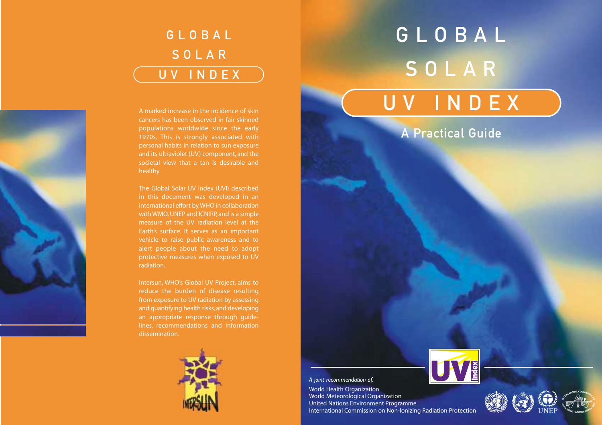## GLOBAL SOLAR UV INDEX

GLOBAL SOLAR UV INDEX



A marked increase in the incidence of skin cancers has been observed in fair-skinned populations worldwide since the early 1970s. This is strongly associated with personal habits in relation to sun exposure and its ultraviolet (UV) component, and the societal view that a tan is desirable and healthy.

The Global Solar UV Index (UVI) described in this document was developed in an international effort by WHO in collaboration with WMO, UNEP and ICNIRP, and is a simple measure of the UV radiation level at the Earth's surface. It serves as an important vehicle to raise public awareness and to alert people about the need to adopt protective measures when exposed to UV radiation.

Intersun, WHO's Global UV Project, aims to reduce the burden of disease resulting from exposure to UV radiation by assessing and quantifying health risks, and developing an appropriate response through guidelines, recommendations and information dissemination.



### A Practical Guide



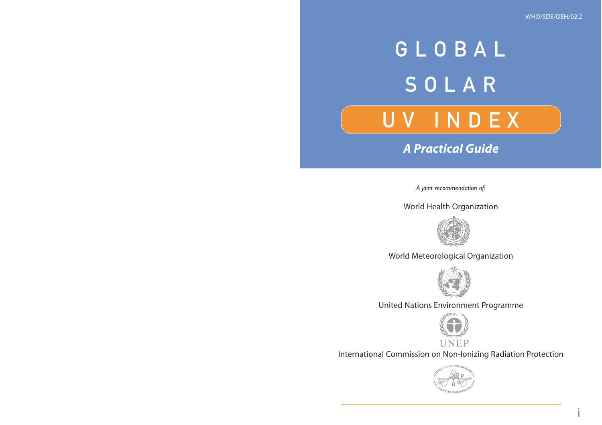i

# GLOBAL SOLAR UV INDEX

*A Practical Guide*

*A joint recommendation of:*

World Health Organization



World Meteorological Organization



United Nations Environment Programme



International Commission on Non-Ionizing Radiation Protection

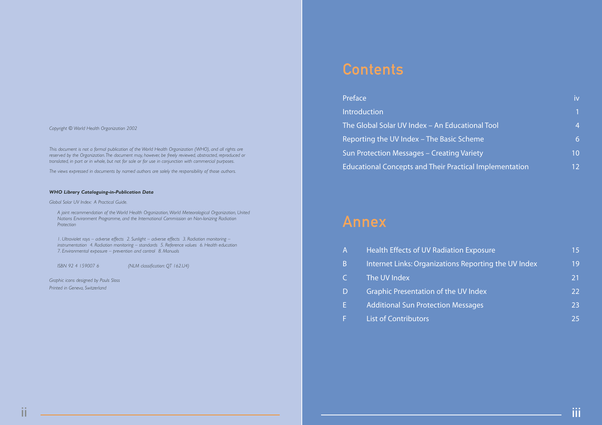*Copyright © World Health Organization 2002*

*This document is not a formal publication of the World Health Organization (WHO), and all rights are reserved by the Organization.The document may, however, be freely reviewed, abstracted, reproduced or translated, in part or in whole, but not for sale or for use in conjunction with commercial purposes.*

*The views expressed in documents by named authors are solely the responsibility of those authors.*

#### *WHO Library Cataloguing-in-Publication Data*

*Global Solar UV Index: A Practical Guide.*

*A joint recommendation of the World Health Organization,World Meteorological Organization, United Nations Environment Programme, and the International Commission on Non-Ionizing Radiation Protection*

*1. Ultraviolet rays – adverse effects 2. Sunlight – adverse effects 3. Radiation monitoring – instrumentation 4. Radiation monitoring – standards 5. Reference values 6. Health education 7. Environmental exposure – prevention and control 8. Manuals*

*ISBN 92 4 159007 6 (NLM classification: QT 162.U4)*

*Graphic icons designed by Pauls Sloss Printed in Geneva, Switzerland*

### **Contents**

| Preface                                                        | iv              |
|----------------------------------------------------------------|-----------------|
| <b>Introduction</b>                                            |                 |
| The Global Solar UV Index - An Educational Tool                | 4               |
| Reporting the UV Index - The Basic Scheme                      | 6               |
| <b>Sun Protection Messages - Creating Variety</b>              | 10 <sup>1</sup> |
| <b>Educational Concepts and Their Practical Implementation</b> | 12 <sup>°</sup> |

### Annex

| $\mathsf{A}^{\mathsf{r}}$ | Health Effects of UV Radiation Exposure              | 15 |
|---------------------------|------------------------------------------------------|----|
| B                         | Internet Links: Organizations Reporting the UV Index | 19 |
| C.                        | The UV Index                                         | 21 |
| D                         | <b>Graphic Presentation of the UV Index</b>          | 22 |
| F                         | <b>Additional Sun Protection Messages</b>            | 23 |
|                           | <b>List of Contributors</b>                          | 25 |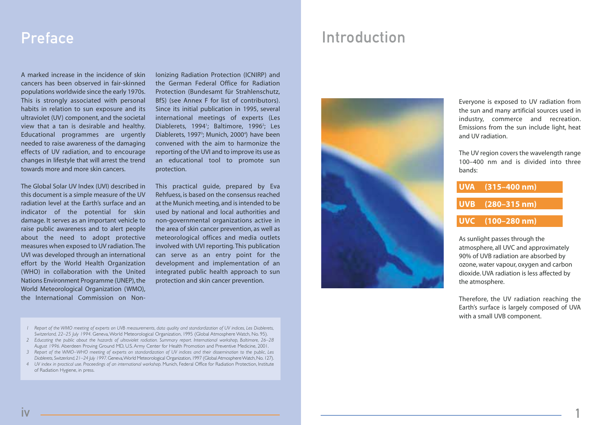A marked increase in the incidence of skin cancers has been observed in fair-skinned populations worldwide since the early 1970s. This is strongly associated with personal habits in relation to sun exposure and its ultraviolet (UV) component, and the societal view that a tan is desirable and healthy. Educational programmes are urgently needed to raise awareness of the damaging effects of UV radiation, and to encourage changes in lifestyle that will arrest the trend towards more and more skin cancers.

The Global Solar UV Index (UVI) described in this document is a simple measure of the UV radiation level at the Earth's surface and an indicator of the potential for skin damage. It serves as an important vehicle to raise public awareness and to alert people about the need to adopt protective measures when exposed to UV radiation.The UVI was developed through an international effort by the World Health Organization (WHO) in collaboration with the United Nations Environment Programme (UNEP), the World Meteorological Organization (WMO), the International Commission on NonIonizing Radiation Protection (ICNIRP) and the German Federal Office for Radiation Protection (Bundesamt für Strahlenschutz, BfS) (see Annex F for list of contributors). Since its initial publication in 1995, several international meetings of experts (Les Diablerets, 1994<sup>1</sup>; Baltimore, 1996<sup>2</sup>; Les Diablerets, 1997<sup>3</sup>; Munich, 2000<sup>4</sup>) have been convened with the aim to harmonize the reporting of the UVI and to improve its use as an educational tool to promote sun protection.

This practical guide, prepared by Eva Rehfuess, is based on the consensus reached at the Munich meeting, and is intended to be used by national and local authorities and non-governmental organizations active in the area of skin cancer prevention, as well as meteorological offices and media outlets involved with UVI reporting. This publication can serve as an entry point for the development and implementation of an integrated public health approach to sun protection and skin cancer prevention.

### Preface Introduction



Everyone is exposed to UV radiation from the sun and many artificial sources used in industry, commerce and recreation. Emissions from the sun include light, heat and UV radiation.

The UV region covers the wavelength range 100–400 nm and is divided into three bands:

| $UVA$ (315–400 nm) |
|--------------------|
| $UVB$ (280–315 nm) |
| UVC (100-280 nm)   |

As sunlight passes through the atmosphere, all UVC and approximately 90% of UVB radiation are absorbed by ozone, water vapour, oxygen and carbon dioxide. UVA radiation is less affected by the atmosphere.

Therefore, the UV radiation reaching the Earth's surface is largely composed of UVA with a small UVB component.

1

- *1 Report of the WMO meeting of experts on UVB measurements, data quality and standardization of UV indices, Les Diablerets, Switzerland, 22–25 July 1994.* Geneva,World Meteorological Organization, 1995 (Global Atmosphere Watch, No. 95).
- *2 Educating the public about the hazards of ultraviolet radiation. Summary report. International workshop, Baltimore, 26–28 August 1996.* Aberdeen Proving Ground MD, U.S. Army Center for Health Promotion and Preventive Medicine, 2001.
- *3 Report of the WMO–WHO meeting of experts on standardization of UV indices and their dissemination to the public, Les Diablerets,Switzerland,21–24 July 1997.*Geneva,World Meteorological Organization,1997 (Global Atmosphere Watch,No.127).
- *4 UV index in practical use. Proceedings of an international workshop.* Munich, Federal Office for Radiation Protection, Institute of Radiation Hygiene, in press.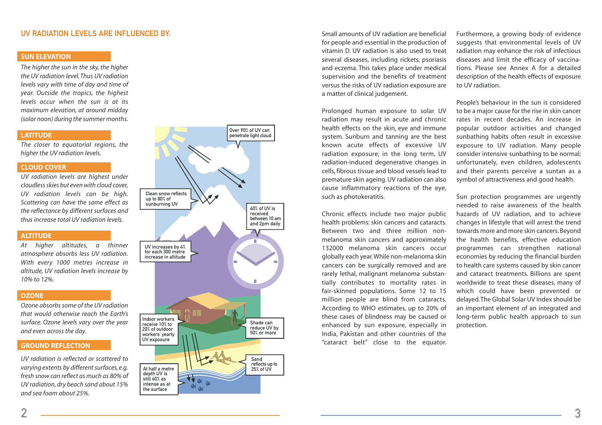#### UV RADIATION LEVELS ARE INFLUENCED BY:

#### **SUN ELEVATION**

*The higher the sun in the sky, the higher the UV radiation level. Thus UV radiation levels vary with time of day and time of year. Outside the tropics, the highest levels occur when the sun is at its maximum elevation, at around midday (solar noon) during the summer months.*

#### **LATITUDE**

*The closer to equatorial regions, the higher the UV radiation levels.*

#### **CLOUD COVER**

*UV radiation levels are highest under cloudless skies but even with cloud cover, UV radiation levels can be high. Scattering can have the same effect as the reflectance by different surfaces and thus increase total UV radiation levels.*

#### **ALTITUDE**

*At higher altitudes, a thinner atmosphere absorbs less UV radiation. With every 1000 metres increase in altitude, UV radiation levels increase by 10% to 12%.*

#### **OZONE**

*Ozone absorbs some of the UV radiation that would otherwise reach the Earth's surface. Ozone levels vary over the year and even across the day.*

#### **GROUND REFLECTION**

*UV radiation is reflected or scattered to varying extents by different surfaces, e.g. fresh snow can reflect as much as 80% of UV radiation, dry beach sand about 15% and sea foam about 25%.*



Small amounts of UV radiation are beneficial for people and essential in the production of vitamin D. UV radiation is also used to treat several diseases, including rickets, psoriasis and eczema. This takes place under medical supervision and the benefits of treatment versus the risks of UV radiation exposure are a matter of clinical judgement.

Prolonged human exposure to solar UV radiation may result in acute and chronic health effects on the skin, eye and immune system. Sunburn and tanning are the best known acute effects of excessive UV radiation exposure; in the long term, UV radiation-induced degenerative changes in cells, fibrous tissue and blood vessels lead to premature skin ageing. UV radiation can also cause inflammatory reactions of the eye, such as photokeratitis.

Chronic effects include two major public health problems: skin cancers and cataracts. Between two and three million nonmelanoma skin cancers and approximately 132000 melanoma skin cancers occur globally each year.While non-melanoma skin cancers can be surgically removed and are rarely lethal, malignant melanoma substantially contributes to mortality rates in fair-skinned populations. Some 12 to 15 million people are blind from cataracts. According to WHO estimates, up to 20% of these cases of blindness may be caused or enhanced by sun exposure, especially in India, Pakistan and other countries of the "cataract belt" close to the equator.

Furthermore, a growing body of evidence suggests that environmental levels of UV radiation may enhance the risk of infectious diseases and limit the efficacy of vaccinations. Please see Annex A for a detailed description of the health effects of exposure to UV radiation.

People's behaviour in the sun is considered to be a major cause for the rise in skin cancer rates in recent decades. An increase in popular outdoor activities and changed sunbathing habits often result in excessive exposure to UV radiation. Many people consider intensive sunbathing to be normal; unfortunately, even children, adolescents and their parents perceive a suntan as a symbol of attractiveness and good health.

Sun protection programmes are urgently needed to raise awareness of the health hazards of UV radiation, and to achieve changes in lifestyle that will arrest the trend towards more and more skin cancers. Beyond the health benefits, effective education programmes can strengthen national economies by reducing the financial burden to health care systems caused by skin cancer and cataract treatments. Billions are spent worldwide to treat these diseases, many of which could have been prevented or delayed.The Global Solar UV Index should be an important element of an integrated and long-term public health approach to sun protection.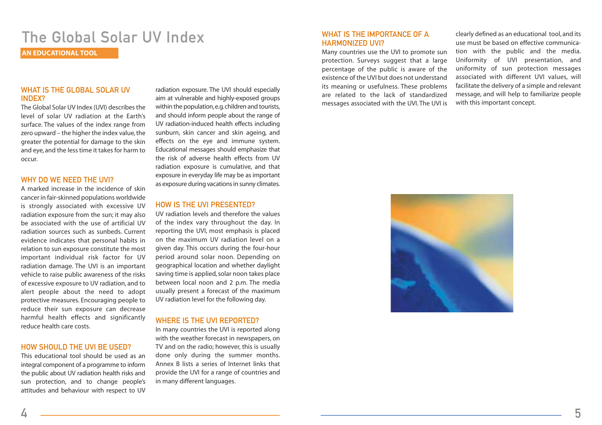### The Global Solar UV Index

**AN EDUCATIONAL TOOL**

#### WHAT IS THE GLOBAL SOLAR UV INDEX?

The Global Solar UV Index (UVI) describes the level of solar UV radiation at the Earth's surface. The values of the index range from zero upward – the higher the index value, the greater the potential for damage to the skin and eye, and the less time it takes for harm to occur.

#### WHY DO WE NFFD THE UVI?

A marked increase in the incidence of skin cancer in fair-skinned populations worldwide is strongly associated with excessive UV radiation exposure from the sun; it may also be associated with the use of artificial UV radiation sources such as sunbeds. Current evidence indicates that personal habits in relation to sun exposure constitute the most important individual risk factor for UV radiation damage. The UVI is an important vehicle to raise public awareness of the risks of excessive exposure to UV radiation, and to alert people about the need to adopt protective measures. Encouraging people to reduce their sun exposure can decrease harmful health effects and significantly reduce health care costs.

#### HOW SHOULD THE UVI BE USED?

This educational tool should be used as an integral component of a programme to inform the public about UV radiation health risks and sun protection, and to change people's attitudes and behaviour with respect to UV

radiation exposure. The UVI should especially aim at vulnerable and highly-exposed groups within the population,e.g.children and tourists, and should inform people about the range of UV radiation-induced health effects including sunburn, skin cancer and skin ageing, and effects on the eye and immune system. Educational messages should emphasize that the risk of adverse health effects from UV radiation exposure is cumulative, and that exposure in everyday life may be as important as exposure during vacations in sunny climates.

#### HOW IS THE UVI PRESENTED?

UV radiation levels and therefore the values of the index vary throughout the day. In reporting the UVI, most emphasis is placed on the maximum UV radiation level on a given day. This occurs during the four-hour period around solar noon. Depending on geographical location and whether daylight saving time is applied, solar noon takes place between local noon and 2 p.m. The media usually present a forecast of the maximum UV radiation level for the following day.

#### WHERE IS THE UVI REPORTED?

In many countries the UVI is reported along with the weather forecast in newspapers, on TV and on the radio; however, this is usually done only during the summer months. Annex B lists a series of Internet links that provide the UVI for a range of countries and in many different languages.

#### WHAT IS THE IMPORTANCE OF A HARMONIZED UVI?

Many countries use the UVI to promote sun protection. Surveys suggest that a large percentage of the public is aware of the existence of the UVI but does not understand its meaning or usefulness. These problems are related to the lack of standardized messages associated with the UVI. The UVI is clearly defined as an educational tool, and its use must be based on effective communication with the public and the media. Uniformity of UVI presentation, and uniformity of sun protection messages associated with different UVI values, will facilitate the delivery of a simple and relevant message, and will help to familiarize people with this important concept.

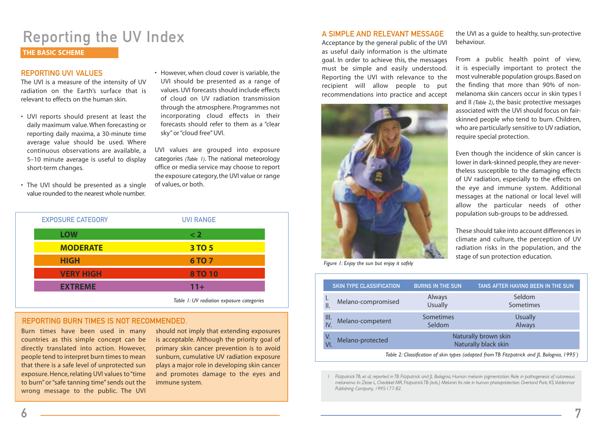### Reporting the UV Index

#### **THE BASIC SCHEME**

#### REPORTING LIVI VALUES

The UVI is a measure of the intensity of UV radiation on the Earth's surface that is relevant to effects on the human skin.

- UVI reports should present at least the daily maximum value. When forecasting or reporting daily maxima, a 30-minute time average value should be used. Where continuous observations are available, <sup>a</sup> 5–10 minute average is useful to display short-term changes.
- The UVI should be presented as a single value rounded to the nearest whole number.

• However, when cloud cover is variable, the UVI should be presented as a range of values. UVI forecasts should include effects of cloud on UV radiation transmission through the atmosphere. Programmes not incorporating cloud effects in their forecasts should refer to them as a "clear sky" or "cloud free" UVI.

UVI values are grouped into exposure categories *(Table 1)*. The national meteorology office or media service may choose to report the exposure category, the UVI value or range of values, or both.

| <b>EXPOSURE CATEGORY</b> | <b>UVI RANGE</b> |
|--------------------------|------------------|
| <b>LOW</b>               | $\leq 2$         |
| <b>MODERATE</b>          | 3 TO 5           |
| <b>HIGH</b>              | <b>6TO 7</b>     |
| <b>VERY HIGH</b>         | <b>8 TO 10</b>   |
| <b>EXTREME</b>           | $11+$            |
|                          | _                |

*Table 1:* UV radiation exposure categories

#### REPORTING BURN TIMES IS NOT RECOMMENDED.

Burn times have been used in many countries as this simple concept can be directly translated into action. However, people tend to interpret burn times to mean that there is a safe level of unprotected sun exposure. Hence, relating UVI values to "time to burn" or "safe tanning time" sends out the wrong message to the public. The UVI

should not imply that extending exposures is acceptable. Although the priority goal of primary skin cancer prevention is to avoid sunburn, cumulative UV radiation exposure plays a major role in developing skin cancer and promotes damage to the eyes and immune system.

#### A SIMPLE AND RELEVANT MESSAGE

Acceptance by the general public of the UVI as useful daily information is the ultimate goal. In order to achieve this, the messages must be simple and easily understood. Reporting the UVI with relevance to the recipient will allow people to put recommendations into practice and accept



*Figure 1: Enjoy the sun but enjoy it safely*

the UVI as a guide to healthy, sun-protective behaviour.

From a public health point of view, it is especially important to protect the most vulnerable population groups. Based on the finding that more than 90% of nonmelanoma skin cancers occur in skin types I and II *(Table 2)*, the basic protective messages associated with the UVI should focus on fairskinned people who tend to burn. Children, who are particularly sensitive to UV radiation, require special protection.

Even though the incidence of skin cancer is lower in dark-skinned people, they are nevertheless susceptible to the damaging effects of UV radiation, especially to the effects on the eye and immune system. Additional messages at the national or local level will allow the particular needs of other population sub-groups to be addressed.

These should take into account differences in climate and culture, the perception of UV radiation risks in the population, and the stage of sun protection education.

| <b>SKIN TYPE CLASSIFICATION</b>                                                            | <b>BURNS IN THE SUN</b>  | TANS AFTER HAVING BEEN IN THE SUN            |  |  |
|--------------------------------------------------------------------------------------------|--------------------------|----------------------------------------------|--|--|
| I.<br>Melano-compromised<br>$\parallel$ .                                                  | Always<br><b>Usually</b> | Seldom<br>Sometimes                          |  |  |
| III.<br>Melano-competent<br>IV.                                                            | Sometimes<br>Seldom      | <b>Usually</b><br>Always                     |  |  |
| V.<br>Melano-protected<br>VI.                                                              |                          | Naturally brown skin<br>Naturally black skin |  |  |
| Table 2: Classification of skin types (adapted from TB Fitzpatrick and JL Bolognia, 1995') |                          |                                              |  |  |

*1 Fitzpatrick TB, et al, reported in TB Fitzpatrick and JL Bolognia, Human melanin pigmentation: Role in pathogenesis of cutaneous* melanoma. In: Zeise L, Chedekel MR, Fitzpatrick TB (eds.) Melanin: Its role in human photoprotection. Overland Park, KS, Valdenmar *Publishing Company, 1995:177-82.*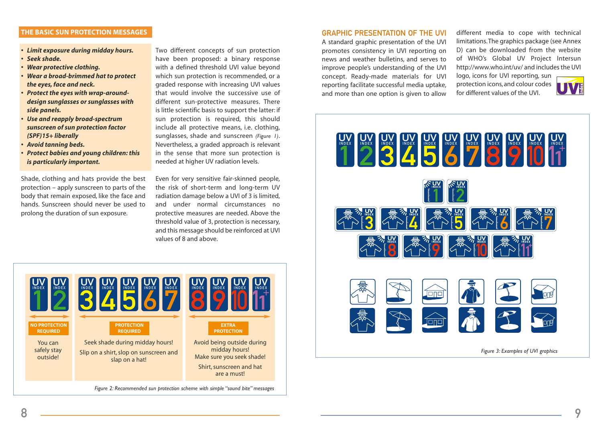#### **THE BASIC SUN PROTECTION MESSAGES**

- *Limit exposure during midday hours.*
- *Seek shade.*
- *Wear protective clothing.*
- *Wear a broad-brimmed hat to protect the eyes, face and neck.*
- *Protect the eyes with wrap-arounddesign sunglasses or sunglasses with side panels.*
- *Use and reapply broad-spectrum sunscreen of sun protection factor (SPF)15+ liberally*
- *Avoid tanning beds.*
- *Protect babies and young children: this is particularly important.*

Shade, clothing and hats provide the best protection – apply sunscreen to parts of the body that remain exposed, like the face and hands. Sunscreen should never be used to prolong the duration of sun exposure.

Two different concepts of sun protection have been proposed: a binary response with a defined threshold UVI value beyond which sun protection is recommended, or a graded response with increasing UVI values that would involve the successive use of different sun-protective measures. There is little scientific basis to support the latter: if sun protection is required, this should include all protective means, i.e. clothing, sunglasses, shade and sunscreen *(Figure 1)*. Nevertheless, a graded approach is relevant in the sense that more sun protection is needed at higher UV radiation levels.

Even for very sensitive fair-skinned people, the risk of short-term and long-term UV radiation damage below a UVI of 3 is limited, and under normal circumstances no protective measures are needed. Above the threshold value of 3, protection is necessary, and this message should be reinforced at UVI values of 8 and above.



#### GRAPHIC PRESENTATION OF THE UVI

A standard graphic presentation of the UVI promotes consistency in UVI reporting on news and weather bulletins, and serves to improve people's understanding of the UVI concept. Ready-made materials for UVI reporting facilitate successful media uptake, and more than one option is given to allow

different media to cope with technical limitations.The graphics package (see Annex D) can be downloaded from the website of WHO's Global UV Project Intersun http://www.who.int/uv/ and includes the UVI logo, icons for UVI reporting, sun

protection icons, and colour codes for different values of the UVI.





*Figure 3: Examples of UVI graphics*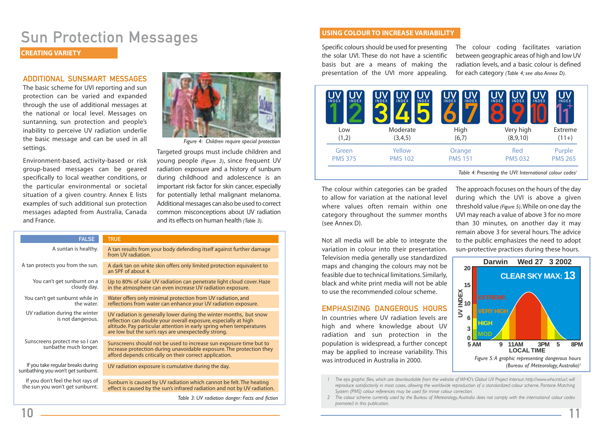### Sun Protection Messages

#### **CREATING VARIETY**

#### ADDITIONAL SUNSMART MESSAGES

The basic scheme for UVI reporting and sun protection can be varied and expanded through the use of additional messages at the national or local level. Messages on suntanning, sun protection and people's inability to perceive UV radiation underlie the basic message and can be used in all settings.

Environment-based, activity-based or risk group-based messages can be geared specifically to local weather conditions, or the particular environmental or societal situation of a given country. Annex E lists examples of such additional sun protection messages adapted from Australia, Canada and France.



*Figure 4: Children require special protection*

Targeted groups must include children and young people *(Figure 3)*, since frequent UV radiation exposure and a history of sunburn during childhood and adolescence is an important risk factor for skin cancer, especially for potentially lethal malignant melanoma. Additional messages can also be used to correct common misconceptions about UV radiation and its effects on human health *(Table 3)*.

|                                                                                                        | <b>FALSE</b>                                                            | <b>TRUE</b>                                                                                                                                                                                                                                                          |
|--------------------------------------------------------------------------------------------------------|-------------------------------------------------------------------------|----------------------------------------------------------------------------------------------------------------------------------------------------------------------------------------------------------------------------------------------------------------------|
|                                                                                                        | A suntan is healthy.                                                    | A tan results from your body defending itself against further damage<br>from UV radiation.                                                                                                                                                                           |
| A tan protects you from the sun.<br>You can't get sunburnt on a<br>cloudy day.                         |                                                                         | A dark tan on white skin offers only limited protection equivalent to<br>an SPF of about 4.                                                                                                                                                                          |
|                                                                                                        |                                                                         | Up to 80% of solar UV radiation can penetrate light cloud cover. Haze<br>in the atmosphere can even increase UV radiation exposure.                                                                                                                                  |
|                                                                                                        | You can't get sunburnt while in<br>the water.                           | Water offers only minimal protection from UV radiation, and<br>reflections from water can enhance your UV radiation exposure.                                                                                                                                        |
|                                                                                                        | UV radiation during the winter<br>is not dangerous.                     | UV radiation is generally lower during the winter months, but snow<br>reflection can double your overall exposure, especially at high<br>altitude. Pay particular attention in early spring when temperatures<br>are low but the sun's rays are unexpectedly strong. |
|                                                                                                        | Sunscreens protect me so I can<br>sunbathe much longer.                 | Sunscreens should not be used to increase sun exposure time but to<br>increase protection during unavoidable exposure. The protection they<br>afford depends critically on their correct application.                                                                |
|                                                                                                        | If you take regular breaks during<br>sunbathing you won't get sunburnt. | UV radiation exposure is cumulative during the day.                                                                                                                                                                                                                  |
|                                                                                                        | If you don't feel the hot rays of<br>the sun you won't get sunburnt.    | Sunburn is caused by UV radiation which cannot be felt. The heating<br>effect is caused by the sun's infrared radiation and not by UV radiation.                                                                                                                     |
| $T-hL$ , $\Omega$ , $\Gamma M$ and the state of the second political problem of $\Omega$ at the second |                                                                         |                                                                                                                                                                                                                                                                      |

*Table 3: UV radiation danger: Facts and fiction*

#### **USING COLOUR TO INCREASE VARIABILITY**

Specific colours should be used for presenting the solar UVI. These do not have a scientific basis but are a means of making the presentation of the UVI more appealing. The colour coding facilitates variation between geographic areas of high and low UV radiation levels, and a basic colour is defined for each category *(Table 4; see also Annex D).*

| JV<br><b>INDEX</b><br><b>INDEX</b> | JV<br><b>INDEX</b><br><b>INDEX</b><br><b>INDEX</b> | <b>INDEX</b><br><b>INDEX</b> | <b>INDEX</b><br><b>INDEX</b><br><b>INDEX</b> | JV<br><b>INDEX</b> |
|------------------------------------|----------------------------------------------------|------------------------------|----------------------------------------------|--------------------|
| Low                                | Moderate                                           | High                         | Very high                                    | Extreme            |
| (1,2)                              | (3,4,5)                                            | (6,7)                        | (8,9,10)                                     | $(11+)$            |
| Green                              | Yellow                                             | Orange                       | Red                                          | Purple             |
| <b>PMS 375</b>                     | <b>PMS 102</b>                                     | <b>PMS 151</b>               | <b>PMS 032</b>                               | <b>PMS 265</b>     |
|                                    |                                                    |                              |                                              |                    |

*Table 4: Presenting the UVI: International colour codes<sup>1</sup>* 

The colour within categories can be graded to allow for variation at the national level where values often remain within one category throughout the summer months (see Annex D).

Not all media will be able to integrate the variation in colour into their presentation. Television media generally use standardized maps and changing the colours may not be feasible due to technical limitations. Similarly, black and white print media will not be able to use the recommended colour scheme.

#### EMPHASIZING DANGEROUS HOURS

In countries where UV radiation levels are high and where knowledge about UV radiation and sun protection in the population is widespread, a further concept may be applied to increase variability. This was introduced in Australia in 2000.

The approach focuses on the hours of the day during which the UVI is above a given threshold value *(Figure 5)*.While on one day the UVI may reach a value of above 3 for no more than 30 minutes, on another day it may remain above 3 for several hours. The advice to the public emphasizes the need to adopt sun-protective practices during these hours.



*1 The eps graphic files, which are downloadable from the website of WHO's Global UV Project Intersun http://www.who.int/uv/, will reproduce satisfactorily in most cases, allowing the worldwide reproduction of a standardized colour scheme. Pantone Matching System (PMS) colour references may be used for minor colour correction.*

*2 The colour scheme currently used by the Bureau of Meteorology, Australia does not comply with the international colour codes promoted in this publication.*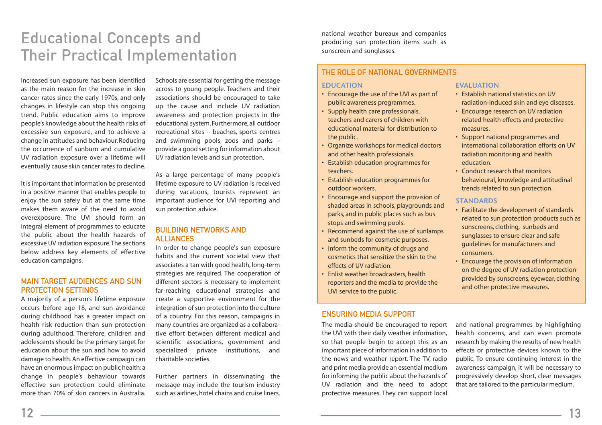### Educational Concepts and Their Practical Implementation

Increased sun exposure has been identified as the main reason for the increase in skin cancer rates since the early 1970s, and only changes in lifestyle can stop this ongoing trend. Public education aims to improve people's knowledge about the health risks of excessive sun exposure, and to achieve a change in attitudes and behaviour. Reducing the occurrence of sunburn and cumulative UV radiation exposure over a lifetime will eventually cause skin cancer rates to decline.

It is important that information be presented in a positive manner that enables people to enjoy the sun safely but at the same time makes them aware of the need to avoid overexposure. The UVI should form an integral element of programmes to educate the public about the health hazards of excessive UV radiation exposure.The sections below address key elements of effective education campaigns.

#### MAIN TARGET AUDIENCES AND SUN PROTECTION SETTINGS

A majority of a person's lifetime exposure occurs before age 18, and sun avoidance during childhood has a greater impact on health risk reduction than sun protection during adulthood. Therefore, children and adolescents should be the primary target for education about the sun and how to avoid damage to health. An effective campaign can have an enormous impact on public health: <sup>a</sup> change in people's behaviour towards effective sun protection could eliminate more than 70% of skin cancers in Australia.

Schools are essential for getting the message across to young people. Teachers and their associations should be encouraged to take up the cause and include UV radiation awareness and protection projects in the educational system. Furthermore, all outdoor recreational sites – beaches, sports centres and swimming pools, zoos and parks – provide a good setting for information about UV radiation levels and sun protection.

As a large percentage of many people's lifetime exposure to UV radiation is received during vacations, tourists represent an important audience for UVI reporting and sun protection advice.

#### BUILDING NETWORKS AND ALLIANCES

In order to change people's sun exposure habits and the current societal view that associates a tan with good health, long-term strategies are required. The cooperation of different sectors is necessary to implement far-reaching educational strategies and create a supportive environment for the integration of sun protection into the culture of a country. For this reason, campaigns in many countries are organized as a collaborative effort between different medical and scientific associations, government and specialized private institutions, and charitable societies.

Further partners in disseminating the message may include the tourism industry such as airlines, hotel chains and cruise liners,

national weather bureaux and companies producing sun protection items such as sunscreen and sunglasses.

### THE ROLE OF NATIONAL GOVERNMENTS

#### **EDUCATION**

- Encourage the use of the UVI as part of public awareness programmes.
- Supply health care professionals, teachers and carers of children with educational material for distribution to the public.
- Organize workshops for medical doctors and other health professionals.
- Establish education programmes for teachers.
- Establish education programmes for outdoor workers.
- Encourage and support the provision of shaded areas in schools, playgrounds and parks, and in public places such as bus stops and swimming pools.
- Recommend against the use of sunlamps and sunbeds for cosmetic purposes.
- Inform the community of drugs and cosmetics that sensitize the skin to the effects of UV radiation.
- Enlist weather broadcasters, health reporters and the media to provide the UVI service to the public.

#### ENSURING MEDIA SUPPORT

The media should be encouraged to report the UVI with their daily weather information, so that people begin to accept this as an important piece of information in addition to the news and weather report. The TV, radio and print media provide an essential medium for informing the public about the hazards of UV radiation and the need to adopt protective measures. They can support local

#### **EVALUATION**

- Establish national statistics on UV radiation-induced skin and eye diseases.
- Encourage research on UV radiation related health effects and protective measures.
- Support national programmes and international collaboration efforts on UV radiation monitoring and health education.
- Conduct research that monitors behavioural, knowledge and attitudinal trends related to sun protection.

#### **STANDARDS**

- Facilitate the development of standards related to sun protection products such as sunscreens, clothing, sunbeds and sunglasses to ensure clear and safe guidelines for manufacturers and consumers.
- Encourage the provision of information on the degree of UV radiation protection provided by sunscreens, eyewear, clothing and other protective measures.

and national programmes by highlighting health concerns, and can even promote research by making the results of new health effects or protective devices known to the public. To ensure continuing interest in the awareness campaign, it will be necessary to progressively develop short, clear messages that are tailored to the particular medium.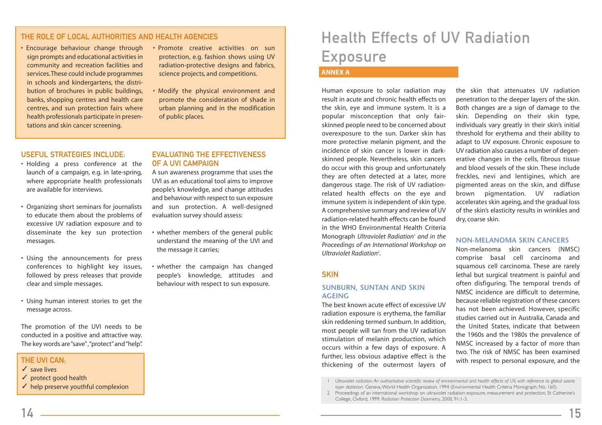### THE ROLE OF LOCAL AUTHORITIES AND HEALTH AGENCIES

• Encourage behaviour change through sign prompts and educational activities in community and recreation facilities and services.These could include programmes in schools and kindergartens, the distribution of brochures in public buildings, banks, shopping centres and health care centres, and sun protection fairs where health professionals participate in presentations and skin cancer screening.

- Promote creative activities on sun protection, e.g. fashion shows using UV radiation-protective designs and fabrics, science projects, and competitions.
- Modify the physical environment and promote the consideration of shade in urban planning and in the modification of public places.

#### USEFUL STRATEGIES INCLUDE.

- Holding a press conference at the launch of a campaign, e.g. in late-spring, where appropriate health professionals are available for interviews.
- Organizing short seminars for journalists to educate them about the problems of excessive UV radiation exposure and to disseminate the key sun protection messages.
- Using the announcements for press conferences to highlight key issues, followed by press releases that provide clear and simple messages.
- Using human interest stories to get the message across.

The promotion of the UVI needs to be conducted in a positive and attractive way. The key words are "save","protect"and "help".

#### THE UVI CAN:

- $\sqrt{\ }$  save lives  $\checkmark$  protect good health
- $\checkmark$  help preserve youthful complexion

#### **FVALUATING THE FFFECTIVENESS** OF A UVI CAMPAIGN

A sun awareness programme that uses the UVI as an educational tool aims to improve people's knowledge, and change attitudes and behaviour with respect to sun exposure and sun protection. A well-designed evaluation survey should assess:

- whether members of the general public understand the meaning of the UVI and the message it carries;
- whether the campaign has changed people's knowledge, attitudes and behaviour with respect to sun exposure.

### Health Effects of UV Radiation Exposure **ANNEX A**

#### Human exposure to solar radiation may result in acute and chronic health effects on the skin, eye and immune system. It is a popular misconception that only fairskinned people need to be concerned about overexposure to the sun. Darker skin has more protective melanin pigment, and the incidence of skin cancer is lower in darkskinned people. Nevertheless, skin cancers do occur with this group and unfortunately they are often detected at a later, more dangerous stage. The risk of UV radiationrelated health effects on the eye and immune system is independent of skin type. A comprehensive summary and review of UV radiation-related health effects can be found in the WHO Environmental Health Criteria Monograph *Ultraviolet Radiation<sup>1</sup> and in the Proceedings of an International Workshop on Ultraviolet Radiation2 .*

#### **SKIN**

#### **SUNBURN, SUNTAN AND SKIN AGEING**

The best known acute effect of excessive UV radiation exposure is erythema, the familiar skin reddening termed sunburn. In addition, most people will tan from the UV radiation stimulation of melanin production, which occurs within a few days of exposure. A further, less obvious adaptive effect is the thickening of the outermost layers of

the skin that attenuates UV radiation penetration to the deeper layers of the skin. Both changes are a sign of damage to the skin. Depending on their skin type, individuals vary greatly in their skin's initial threshold for erythema and their ability to adapt to UV exposure. Chronic exposure to UV radiation also causes a number of degenerative changes in the cells, fibrous tissue and blood vessels of the skin. These include freckles, nevi and lentigines, which are pigmented areas on the skin, and diffuse brown pigmentation. UV radiation accelerates skin ageing, and the gradual loss of the skin's elasticity results in wrinkles and dry, coarse skin.

#### **NON-MELANOMA SKIN CANCERS**

Non-melanoma skin cancers (NMSC) comprise basal cell carcinoma and squamous cell carcinoma. These are rarely lethal but surgical treatment is painful and often disfiguring. The temporal trends of NMSC incidence are difficult to determine, because reliable registration of these cancers has not been achieved. However, specific studies carried out in Australia, Canada and the United States, indicate that between the 1960s and the 1980s the prevalence of NMSC increased by a factor of more than two. The risk of NMSC has been examined with respect to personal exposure, and the

1 *Ultraviolet radiation. An authoritative scientific review of environmental and health effects of UV, with reference to global ozone layer depletion.* Geneva,World Health Organization, 1994 (Environmental Health Criteria Monograph, No. 160).

2 Proceedings of an international workshop on ultraviolet radiation exposure, measurement and protection, St Catherine's College, Oxford, 1999. *Radiation Protection Dosimetry,* 2000, 91:1-3.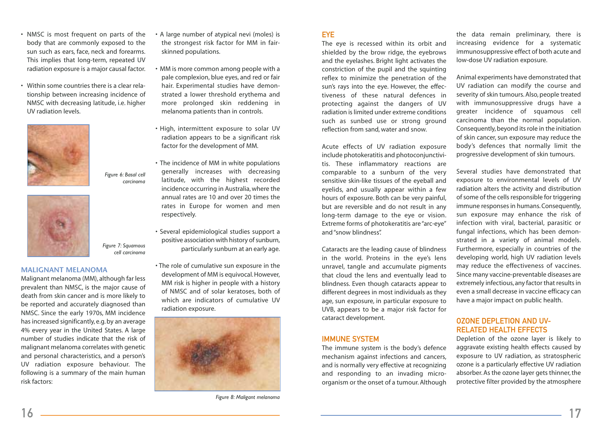- NMSC is most frequent on parts of the body that are commonly exposed to the sun such as ears, face, neck and forearms. This implies that long-term, repeated UV radiation exposure is a major causal factor.
- Within some countries there is a clear relationship between increasing incidence of NMSC with decreasing latitude, i.e. higher UV radiation levels.



*Figure 6: Basal cell carcinoma*



*Figure 7: Squamous cell carcinoma*

#### **MALIGNANT MELANOMA**

Malignant melanoma (MM), although far less prevalent than NMSC, is the major cause of death from skin cancer and is more likely to be reported and accurately diagnosed than NMSC. Since the early 1970s, MM incidence has increased significantly, e.g. by an average 4% every year in the United States. A large number of studies indicate that the risk of malignant melanoma correlates with genetic and personal characteristics, and a person's UV radiation exposure behaviour. The following is a summary of the main human risk factors:

- A large number of atypical nevi (moles) is the strongest risk factor for MM in fairskinned populations.
- MM is more common among people with a pale complexion, blue eyes, and red or fair hair. Experimental studies have demonstrated a lower threshold erythema and more prolonged skin reddening in melanoma patients than in controls.
- High, intermittent exposure to solar UV radiation appears to be a significant risk factor for the development of MM.
- The incidence of MM in white populations generally increases with decreasing latitude, with the highest recorded incidence occurring in Australia, where the annual rates are 10 and over 20 times the rates in Europe for women and men respectively.
- Several epidemiological studies support a positive association with history of sunburn, particularly sunburn at an early age.
- The role of cumulative sun exposure in the development of MM is equivocal. However, MM risk is higher in people with a history of NMSC and of solar keratoses, both of which are indicators of cumulative UV radiation exposure.



*Figure 8: Maligant melanoma*

#### **FYF**

The eye is recessed within its orbit and shielded by the brow ridge, the eyebrows and the eyelashes. Bright light activates the constriction of the pupil and the squinting reflex to minimize the penetration of the sun's rays into the eye. However, the effectiveness of these natural defences in protecting against the dangers of UV radiation is limited under extreme conditions such as sunbed use or strong ground reflection from sand, water and snow.

Acute effects of UV radiation exposure include photokeratitis and photoconjunctivitis. These inflammatory reactions are comparable to a sunburn of the very sensitive skin-like tissues of the eyeball and eyelids, and usually appear within a few hours of exposure. Both can be very painful, but are reversible and do not result in any long-term damage to the eye or vision. Extreme forms of photokeratitis are "arc-eye" and "snow blindness".

Cataracts are the leading cause of blindness in the world. Proteins in the eye's lens unravel, tangle and accumulate pigments that cloud the lens and eventually lead to blindness. Even though cataracts appear to different degrees in most individuals as they age, sun exposure, in particular exposure to UVB, appears to be a major risk factor for cataract development.

#### IMMUNE SYSTEM

The immune system is the body's defence mechanism against infections and cancers, and is normally very effective at recognizing and responding to an invading microorganism or the onset of a tumour. Although

the data remain preliminary, there is increasing evidence for a systematic immunosuppressive effect of both acute and low-dose UV radiation exposure.

Animal experiments have demonstrated that UV radiation can modify the course and severity of skin tumours. Also, people treated with immunosuppressive drugs have a greater incidence of squamous cell carcinoma than the normal population. Consequently, beyond its role in the initiation of skin cancer, sun exposure may reduce the body's defences that normally limit the progressive development of skin tumours.

Several studies have demonstrated that exposure to environmental levels of UV radiation alters the activity and distribution of some of the cells responsible for triggering immune responses in humans. Consequently, sun exposure may enhance the risk of infection with viral, bacterial, parasitic or fungal infections, which has been demonstrated in a variety of animal models. Furthermore, especially in countries of the developing world, high UV radiation levels may reduce the effectiveness of vaccines. Since many vaccine-preventable diseases are extremely infectious, any factor that results in even a small decrease in vaccine efficacy can have a major impact on public health.

#### OZONE DEPLETION AND UV-RELATED HEALTH EFFECTS

Depletion of the ozone layer is likely to aggravate existing health effects caused by exposure to UV radiation, as stratospheric ozone is a particularly effective UV radiation absorber. As the ozone layer gets thinner, the protective filter provided by the atmosphere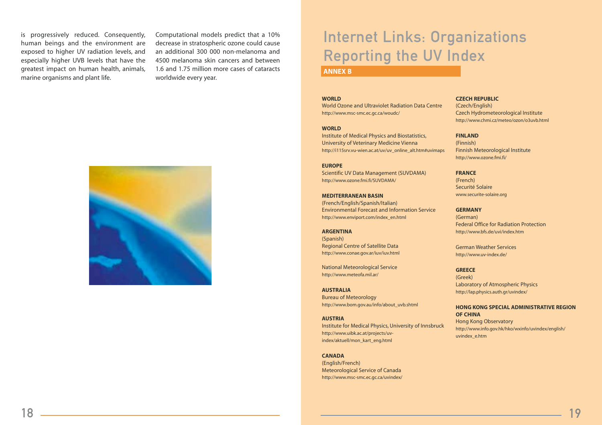is progressively reduced. Consequently, human beings and the environment are exposed to higher UV radiation levels, and especially higher UVB levels that have the greatest impact on human health, animals, marine organisms and plant life.

Computational models predict that a 10% decrease in stratospheric ozone could cause an additional 300 000 non-melanoma and 4500 melanoma skin cancers and between 1.6 and 1.75 million more cases of cataracts worldwide every year.



### Internet Links: Organizations Reporting the UV Index

#### **ANNEX B**

#### **WORLD**

World Ozone and Ultraviolet Radiation Data Centre http://www.msc-smc.ec.gc.ca/woudc/

#### **WORLD**

Institute of Medical Physics and Biostatistics, University of Veterinary Medicine Vienna http://i115srv.vu-wien.ac.at/uv/uv\_online\_alt.htm#uvimaps

**EUROPE** Scientific UV Data Management (SUVDAMA) http://www.ozone.fmi.fi/SUVDAMA/

**MEDITERRANEAN BASIN**  (French/English/Spanish/Italian) Environmental Forecast and Information Service http://www.enviport.com/index\_en.html

**ARGENTINA**  (Spanish) Regional Centre of Satellite Data http://www.conae.gov.ar/iuv/iuv.html

National Meteorological Service http://www.meteofa.mil.ar/

**AUSTRALIA** Bureau of Meteorology http://www.bom.gov.au/info/about\_uvb.shtml

**AUSTRIA** Institute for Medical Physics, University of Innsbruck http://www.uibk.ac.at/projects/uvindex/aktuell/mon\_kart\_eng.html

#### **CANADA**

(English/French) Meteorological Service of Canada http://www.msc-smc.ec.gc.ca/uvindex/

#### **CZECH REPUBLIC**

(Czech/English) Czech Hydrometeorological Institute http://www.chmi.cz/meteo/ozon/o3uvb.html

#### **FINLAND**

(Finnish) Finnish Meteorological Institute http://www.ozone.fmi.fi/

#### **FRANCE**

(French) Securité Solaire www.securite-solaire.org

#### **GERMANY**

(German) Federal Office for Radiation Protection http://www.bfs.de/uvi/index.htm

German Weather Services http://www.uv-index.de/

#### **GREECE**

(Greek) Laboratory of Atmospheric Physics http://lap.physics.auth.gr/uvindex/

**HONG KONG SPECIAL ADMINISTRATIVE REGION OF CHINA** Hong Kong Observatory

http://www.info.gov.hk/hko/wxinfo/uvindex/english/ uvindex\_e.htm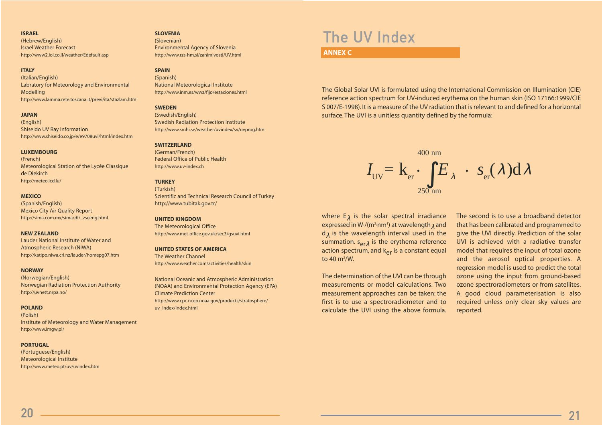#### **ISRAEL**

(Hebrew/English) Israel Weather Forecast http://www2.iol.co.il/weather/Edefault.asp

#### **ITALY**

(Italian/English) Labratory for Meteorology and Environmental Modelling http://www.lamma.rete.toscana.it/previ/ita/stazlam.htm

#### **JAPAN**

(English) Shiseido UV Ray Information http://www.shiseido.co.jp/e/e9708uvi/html/index.htm

#### **LUXEMBOURG**

(French) Meteorological Station of the Lycée Classique de Diekirch http://meteo.lcd.lu/

#### **MEXICO**

(Spanish/English) Mexico City Air Quality Report http://sima.com.mx/sima/df/\_zseeng.html

#### **NEW ZEALAND**

Lauder National Institute of Water and Atmospheric Research (NIWA) http://katipo.niwa.cri.nz/lauder/homepg07.htm

#### **NORWAY**

(Norwegian/English) Norwegian Radiation Protection Authority http://uvnett.nrpa.no/

#### **POLAND**

(Polish) Institute of Meteorology and Water Management http://www.imgw.pl/

#### **PORTUGAL**

(Portuguese/English) Meteorological Institute http://www.meteo.pt/uv/uvindex.htm

#### **SLOVENIA**

(Slovenian) Environmental Agency of Slovenia http://www.rzs-hm.si/zanimivosti/UV.html

#### **SPAIN**

(Spanish) National Meteorological Institute http://www.inm.es/wwz/fijo/estaciones.html

#### **SWEDEN**

(Swedish/English) Swedish Radiation Protection Institute http://www.smhi.se/weather/uvindex/sv/uvprog.htm

#### **SWITZERLAND**

(German/French) Federal Office of Public Health http://www.uv-index.ch

#### **TURKEY**

(Turkish) Scientific and Technical Research Council of Turkey http://www.tubitak.gov.tr/

#### **UNITED KINGDOM**

The Meteorological Office http://www.met-office.gov.uk/sec3/gsuvi.html

#### **UNITED STATES OF AMERICA**

The Weather Channel http://www.weather.com/activities/health/skin

National Oceanic and Atmospheric Administration (NOAA) and Environmental Protection Agency (EPA) Climate Prediction Center http://www.cpc.ncep.noaa.gov/products/stratosphere/ uv\_index/index.html

### The UV Index

#### **ANNEX C**

The Global Solar UVI is formulated using the International Commission on Illumination (CIE) reference action spectrum for UV-induced erythema on the human skin (ISO 17166:1999/CIE S 007/E-1998). It is a measure of the UV radiation that is relevant to and defined for a horizontal surface. The UVI is a unitless quantity defined by the formula:



where  $E_{\lambda}$  is the solar spectral irradiance expressed in W $\cdot$ /(m<sup>2</sup>·nm<sup>1</sup>) at wavelength<sub>2</sub> and  $d<sub>2</sub>$  is the wavelength interval used in the summation.  $s_{\alpha r\lambda}$  is the erythema reference action spectrum, and  $k_{\text{er}}$  is a constant equal to 40  $m^2/W$ .

The determination of the UVI can be through measurements or model calculations. Two measurement approaches can be taken: the first is to use a spectroradiometer and to calculate the UVI using the above formula. The second is to use a broadband detector that has been calibrated and programmed to give the UVI directly. Prediction of the solar UVI is achieved with a radiative transfer model that requires the input of total ozone and the aerosol optical properties. A regression model is used to predict the total ozone using the input from ground-based ozone spectroradiometers or from satellites. A good cloud parameterisation is also required unless only clear sky values are reported.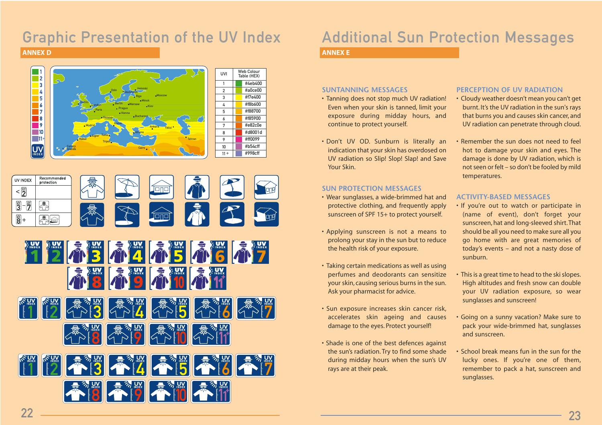### Graphic Presentation of the UV Index

**ANNEX D**





### Additional Sun Protection Messages

#### **ANNEX E**

#### **SUNTANNING MESSAGES**

- Tanning does not stop much UV radiation! Even when your skin is tanned, limit your exposure during midday hours, and continue to protect yourself.
- Don't UV OD. Sunburn is literally an indication that your skin has overdosed on UV radiation so Slip! Slop! Slap! and Save Your Skin.

#### **SUN PROTECTION MESSAGES**

- Wear sunglasses, a wide-brimmed hat and protective clothing, and frequently apply sunscreen of SPF 15+ to protect yourself.
- Applying sunscreen is not a means to prolong your stay in the sun but to reduce the health risk of your exposure.
- Taking certain medications as well as using perfumes and deodorants can sensitize your skin, causing serious burns in the sun. Ask your pharmacist for advice.
- Sun exposure increases skin cancer risk, accelerates skin ageing and causes damage to the eyes. Protect yourself!
- Shade is one of the best defences against the sun's radiation. Try to find some shade during midday hours when the sun's UV rays are at their peak.

#### **PERCEPTION OF UV RADIATION**

- Cloudy weather doesn't mean you can't get burnt. It's the UV radiation in the sun's rays that burns you and causes skin cancer, and UV radiation can penetrate through cloud.
- Remember the sun does not need to feel hot to damage your skin and eyes. The damage is done by UV radiation, which is not seen or felt – so don't be fooled by mild temperatures.

#### **ACTIVITY-BASED MESSAGES**

- If you're out to watch or participate in (name of event), don't forget your sunscreen, hat and long-sleeved shirt. That should be all you need to make sure all you go home with are great memories of today's events – and not a nasty dose of sunburn.
- This is a great time to head to the ski slopes. High altitudes and fresh snow can double your UV radiation exposure, so wear sunglasses and sunscreen!
- Going on a sunny vacation? Make sure to pack your wide-brimmed hat, sunglasses and sunscreen.
- School break means fun in the sun for the lucky ones. If you're one of them, remember to pack a hat, sunscreen and sunglasses.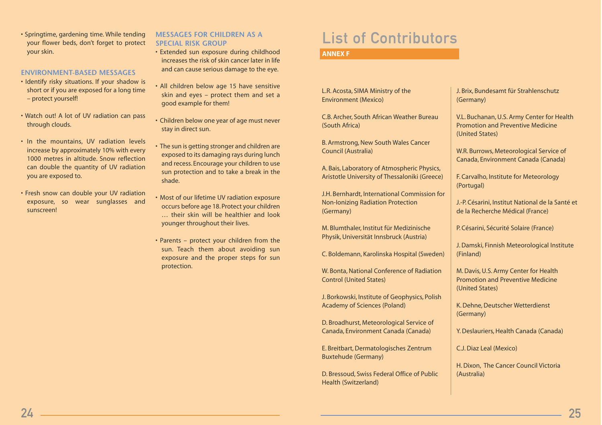• Springtime, gardening time. While tending your flower beds, don't forget to protect your skin.

#### **ENVIRONMENT-BASED MESSAGES**

- Identify risky situations. If your shadow is short or if you are exposed for a long time – protect yourself!
- Watch out! A lot of UV radiation can pass through clouds.
- In the mountains, UV radiation levels increase by approximately 10% with every 1000 metres in altitude. Snow reflection can double the quantity of UV radiation you are exposed to.
- Fresh snow can double your UV radiation exposure, so wear sunglasses and sunscreen!

#### **MESSAGES FOR CHILDREN AS A SPECIAL RISK GROUP**

- Extended sun exposure during childhood increases the risk of skin cancer later in life and can cause serious damage to the eye.
- All children below age 15 have sensitive skin and eyes – protect them and set a good example for them!
- Children below one year of age must never stay in direct sun.
- The sun is getting stronger and children are exposed to its damaging rays during lunch and recess. Encourage your children to use sun protection and to take a break in the shade.
- Most of our lifetime UV radiation exposure occurs before age 18. Protect your children … their skin will be healthier and look younger throughout their lives.
- Parents protect your children from the sun. Teach them about avoiding sun exposure and the proper steps for sun protection.

### List of Contributors

#### **ANNEX F**

L.R. Acosta, SIMA Ministry of the Environment (Mexico)

C.B. Archer, South African Weather Bureau (South Africa)

B. Armstrong, New South Wales Cancer Council (Australia)

A. Bais, Laboratory of Atmospheric Physics, Aristotle University of Thessaloniki (Greece)

J.H. Bernhardt, International Commission for Non-Ionizing Radiation Protection (Germany)

M. Blumthaler, Institut für Medizinische Physik, Universität Innsbruck (Austria)

C. Boldemann, Karolinska Hospital (Sweden)

W. Bonta, National Conference of Radiation Control (United States)

J. Borkowski, Institute of Geophysics, Polish Academy of Sciences (Poland)

D. Broadhurst, Meteorological Service of Canada, Environment Canada (Canada)

E. Breitbart, Dermatologisches Zentrum Buxtehude (Germany)

D. Bressoud, Swiss Federal Office of Public Health (Switzerland)

J. Brix, Bundesamt für Strahlenschutz (Germany)

V.L. Buchanan, U.S. Army Center for Health Promotion and Preventive Medicine (United States)

W.R. Burrows, Meteorological Service of Canada, Environment Canada (Canada)

F. Carvalho, Institute for Meteorology (Portugal)

J.-P. Césarini, Institut National de la Santé et de la Recherche Médical (France)

P. Césarini, Sécurité Solaire (France)

J. Damski, Finnish Meteorological Institute (Finland)

M. Davis, U.S. Army Center for Health Promotion and Preventive Medicine (United States)

K. Dehne, Deutscher Wetterdienst (Germany)

Y. Deslauriers, Health Canada (Canada)

C.J. Diaz Leal (Mexico)

H. Dixon, The Cancer Council Victoria (Australia)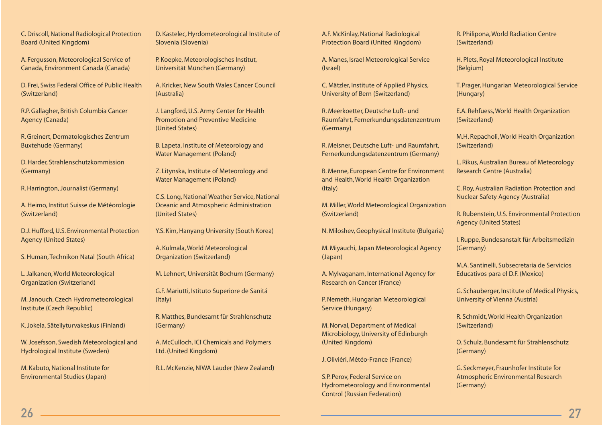C. Driscoll, National Radiological Protection Board (United Kingdom)

A. Fergusson, Meteorological Service of Canada, Environment Canada (Canada)

D. Frei, Swiss Federal Office of Public Health (Switzerland)

R.P. Gallagher, British Columbia Cancer Agency (Canada)

R. Greinert, Dermatologisches Zentrum Buxtehude (Germany)

D. Harder, Strahlenschutzkommission (Germany)

R. Harrington, Journalist (Germany)

A. Heimo, Institut Suisse de Météorologie (Switzerland)

D.J. Hufford, U.S. Environmental Protection Agency (United States)

S. Human, Technikon Natal (South Africa)

L. Jalkanen, World Meteorological Organization (Switzerland)

M. Janouch, Czech Hydrometeorological Institute (Czech Republic)

K. Jokela, Säteilyturvakeskus (Finland)

W. Josefsson, Swedish Meteorological and Hydrological Institute (Sweden)

M. Kabuto, National Institute for Environmental Studies (Japan)

D. Kastelec, Hyrdometeorological Institute of Slovenia (Slovenia)

P. Koepke, Meteorologisches Institut, Universität München (Germany)

A. Kricker, New South Wales Cancer Council (Australia)

J. Langford, U.S. Army Center for Health Promotion and Preventive Medicine (United States)

B. Lapeta, Institute of Meteorology and Water Management (Poland)

Z. Litynska, Institute of Meteorology and Water Management (Poland)

C.S. Long, National Weather Service, National Oceanic and Atmospheric Administration (United States)

Y.S. Kim, Hanyang University (South Korea)

A. Kulmala, World Meteorological Organization (Switzerland)

M. Lehnert, Universität Bochum (Germany)

G.F. Mariutti, Istituto Superiore de Sanitá (Italy)

R. Matthes, Bundesamt für Strahlenschutz (Germany)

A. McCulloch, ICI Chemicals and Polymers Ltd. (United Kingdom)

R.L. McKenzie, NIWA Lauder (New Zealand)

A.F. McKinlay, National Radiological Protection Board (United Kingdom)

A. Manes, Israel Meteorological Service (Israel)

C. Mätzler, Institute of Applied Physics, University of Bern (Switzerland)

R. Meerkoetter, Deutsche Luft- und Raumfahrt, Fernerkundungsdatenzentrum (Germany)

R. Meisner, Deutsche Luft- und Raumfahrt, Fernerkundungsdatenzentrum (Germany)

B. Menne, European Centre for Environment and Health, World Health Organization (Italy)

M. Miller, World Meteorological Organization (Switzerland)

N. Miloshev, Geophysical Institute (Bulgaria)

M. Miyauchi, Japan Meteorological Agency (Japan)

A. Mylvaganam, International Agency for Research on Cancer (France)

P. Nemeth, Hungarian Meteorological Service (Hungary)

M. Norval, Department of Medical Microbiology, University of Edinburgh (United Kingdom)

J. Oliviéri, Météo-France (France)

S.P. Perov, Federal Service on Hydrometeorology and Environmental Control (Russian Federation)

R. Philipona, World Radiation Centre (Switzerland)

H. Plets, Royal Meteorological Institute (Belgium)

T. Prager, Hungarian Meteorological Service (Hungary)

E.A. Rehfuess, World Health Organization (Switzerland)

M.H. Repacholi, World Health Organization (Switzerland)

L. Rikus, Australian Bureau of Meteorology Research Centre (Australia)

C. Roy, Australian Radiation Protection and Nuclear Safety Agency (Australia)

R. Rubenstein, U.S. Environmental Protection Agency (United States)

I. Ruppe, Bundesanstalt für Arbeitsmedizin (Germany)

M.A. Santinelli, Subsecretaria de Servicios Educativos para el D.F. (Mexico)

G. Schauberger, Institute of Medical Physics, University of Vienna (Austria)

R. Schmidt, World Health Organization (Switzerland)

O. Schulz, Bundesamt für Strahlenschutz (Germany)

G. Seckmeyer, Fraunhofer Institute for Atmospheric Environmental Research (Germany)